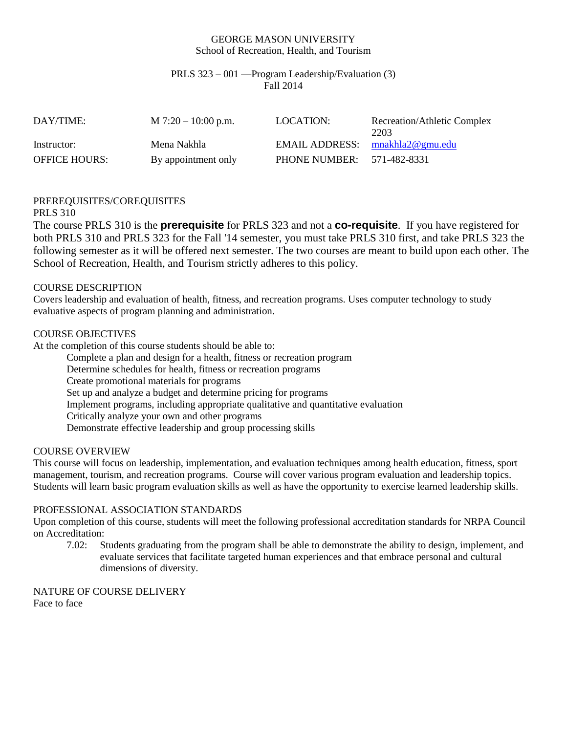#### GEORGE MASON UNIVERSITY School of Recreation, Health, and Tourism

## PRLS 323 – 001 —Program Leadership/Evaluation (3) Fall 2014

| DAY/TIME:            | $M$ 7:20 – 10:00 p.m. | LOCATION:                         | Recreation/Athletic Complex<br>2203 |
|----------------------|-----------------------|-----------------------------------|-------------------------------------|
| Instructor:          | Mena Nakhla           | EMAIL ADDRESS: $mnakhla2@gmu.edu$ |                                     |
| <b>OFFICE HOURS:</b> | By appointment only   | PHONE NUMBER: 571-482-8331        |                                     |

## PREREQUISITES/COREQUISITES

### PRLS 310

The course PRLS 310 is the **prerequisite** for PRLS 323 and not a **co-requisite**. If you have registered for both PRLS 310 and PRLS 323 for the Fall '14 semester, you must take PRLS 310 first, and take PRLS 323 the following semester as it will be offered next semester. The two courses are meant to build upon each other. The School of Recreation, Health, and Tourism strictly adheres to this policy.

## COURSE DESCRIPTION

Covers leadership and evaluation of health, fitness, and recreation programs. Uses computer technology to study evaluative aspects of program planning and administration.

## COURSE OBJECTIVES

At the completion of this course students should be able to:

Complete a plan and design for a health, fitness or recreation program Determine schedules for health, fitness or recreation programs Create promotional materials for programs Set up and analyze a budget and determine pricing for programs Implement programs, including appropriate qualitative and quantitative evaluation Critically analyze your own and other programs Demonstrate effective leadership and group processing skills

#### COURSE OVERVIEW

This course will focus on leadership, implementation, and evaluation techniques among health education, fitness, sport management, tourism, and recreation programs. Course will cover various program evaluation and leadership topics. Students will learn basic program evaluation skills as well as have the opportunity to exercise learned leadership skills.

#### PROFESSIONAL ASSOCIATION STANDARDS

Upon completion of this course, students will meet the following professional accreditation standards for NRPA Council on Accreditation:

7.02: Students graduating from the program shall be able to demonstrate the ability to design, implement, and evaluate services that facilitate targeted human experiences and that embrace personal and cultural dimensions of diversity.

NATURE OF COURSE DELIVERY Face to face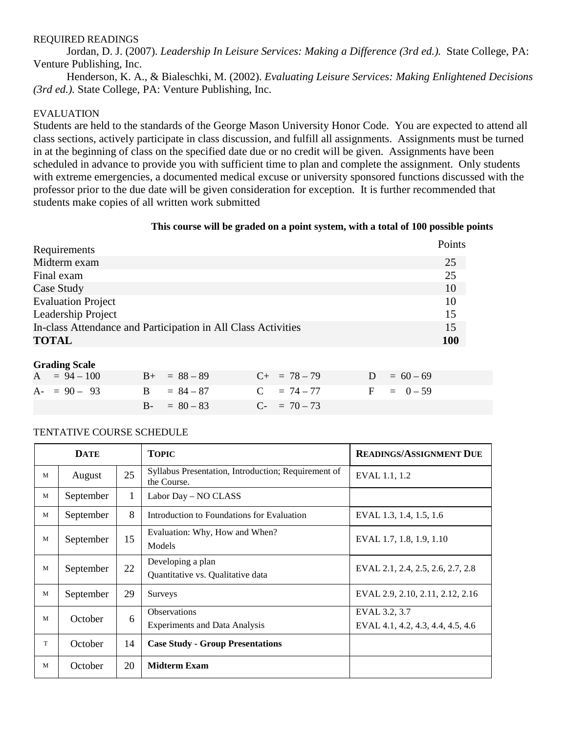## REQUIRED READINGS

Jordan, D. J. (2007). *Leadership In Leisure Services: Making a Difference (3rd ed.).* State College, PA: Venture Publishing, Inc.

Henderson, K. A., & Bialeschki, M. (2002). *Evaluating Leisure Services: Making Enlightened Decisions (3rd ed.).* State College, PA: Venture Publishing, Inc.

## EVALUATION

Students are held to the standards of the George Mason University Honor Code. You are expected to attend all class sections, actively participate in class discussion, and fulfill all assignments. Assignments must be turned in at the beginning of class on the specified date due or no credit will be given. Assignments have been scheduled in advance to provide you with sufficient time to plan and complete the assignment. Only students with extreme emergencies, a documented medical excuse or university sponsored functions discussed with the professor prior to the due date will be given consideration for exception. It is further recommended that students make copies of all written work submitted

#### **This course will be graded on a point system, with a total of 100 possible points**

| Requirements                                                  | Points |
|---------------------------------------------------------------|--------|
| Midterm exam                                                  | 25     |
| Final exam                                                    | 25     |
| Case Study                                                    | 10     |
| <b>Evaluation Project</b>                                     | 10     |
| Leadership Project                                            | 15     |
| In-class Attendance and Participation in All Class Activities | 15     |
| <b>TOTAL</b>                                                  | 100    |

#### **Grading Scale**

| $A = 94 - 100$ | $B+ = 88 - 89$              | $C_{+}$ = 78 - 79 | $D = 60 - 69$ |
|----------------|-----------------------------|-------------------|---------------|
| $A - 90 - 93$  | $B = 84 - 87$               | $C = 74 - 77$     | $F = 0-59$    |
|                | $B - 80 - 83$ $C - 70 - 73$ |                   |               |

#### TENTATIVE COURSE SCHEDULE

|              | <b>DATE</b> |              | <b>TOPIC</b>                                                       | <b>READINGS/ASSIGNMENT DUE</b>                     |
|--------------|-------------|--------------|--------------------------------------------------------------------|----------------------------------------------------|
| M            | August      | 25           | Syllabus Presentation, Introduction; Requirement of<br>the Course. | EVAL 1.1, 1.2                                      |
| M            | September   | $\mathbf{1}$ | Labor Day - NO CLASS                                               |                                                    |
| $\mathbf{M}$ | September   | 8            | Introduction to Foundations for Evaluation                         | EVAL 1.3, 1.4, 1.5, 1.6                            |
| M            | September   | 15           | Evaluation: Why, How and When?<br>Models                           | EVAL 1.7, 1.8, 1.9, 1.10                           |
| M            | September   | 22           | Developing a plan<br>Quantitative vs. Qualitative data             | EVAL 2.1, 2.4, 2.5, 2.6, 2.7, 2.8                  |
| M            | September   | 29           | Surveys                                                            | EVAL 2.9, 2.10, 2.11, 2.12, 2.16                   |
| M            | October     | 6            | <b>Observations</b><br><b>Experiments and Data Analysis</b>        | EVAL 3.2, 3.7<br>EVAL 4.1, 4.2, 4.3, 4.4, 4.5, 4.6 |
| T            | October     | 14           | <b>Case Study - Group Presentations</b>                            |                                                    |
| M            | October     | 20           | <b>Midterm Exam</b>                                                |                                                    |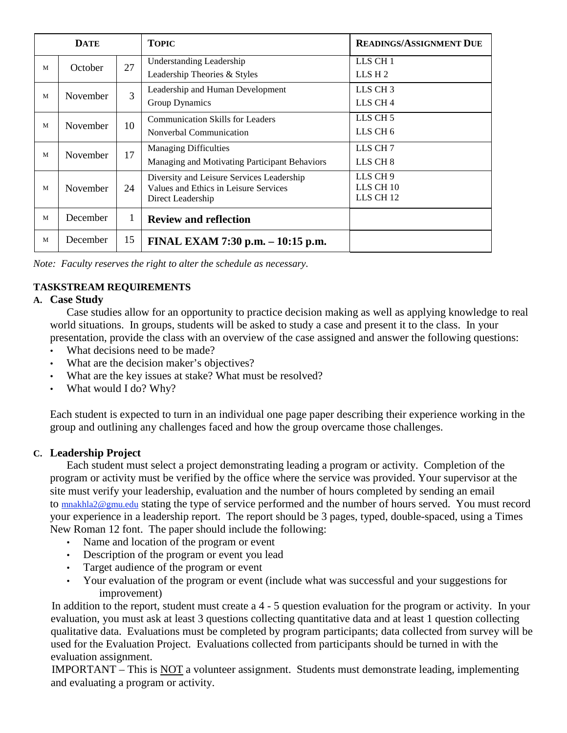|   | <b>DATE</b> |    | <b>TOPIC</b>                                  | <b>READINGS/ASSIGNMENT DUE</b> |
|---|-------------|----|-----------------------------------------------|--------------------------------|
| M | October     | 27 | Understanding Leadership                      | LLS CH <sub>1</sub>            |
|   |             |    | Leadership Theories & Styles                  | $LLS$ H 2                      |
| M | November    | 3  | Leadership and Human Development              | LLS CH <sub>3</sub>            |
|   |             |    | Group Dynamics                                | LLS CH <sub>4</sub>            |
| M |             | 10 | <b>Communication Skills for Leaders</b>       | LLS CH <sub>5</sub>            |
|   | November    |    | Nonverbal Communication                       | LLS CH <sub>6</sub>            |
| M | November    | 17 | <b>Managing Difficulties</b>                  | LLS CH <sub>7</sub>            |
|   |             |    | Managing and Motivating Participant Behaviors | LLS CH <sub>8</sub>            |
|   |             |    | Diversity and Leisure Services Leadership     | LLS CH <sub>9</sub>            |
| M | November    | 24 | Values and Ethics in Leisure Services         | LLSCH10                        |
|   |             |    | Direct Leadership                             | LLS CH <sub>12</sub>           |
| M | December    | 1  | <b>Review and reflection</b>                  |                                |
| M | December    | 15 | FINAL EXAM 7:30 p.m. - 10:15 p.m.             |                                |

*Note: Faculty reserves the right to alter the schedule as necessary.*

# **TASKSTREAM REQUIREMENTS**

## **A. Case Study**

 Case studies allow for an opportunity to practice decision making as well as applying knowledge to real world situations. In groups, students will be asked to study a case and present it to the class. In your presentation, provide the class with an overview of the case assigned and answer the following questions:

- What decisions need to be made?
- What are the decision maker's objectives?
- What are the key issues at stake? What must be resolved?
- What would I do? Why?

Each student is expected to turn in an individual one page paper describing their experience working in the group and outlining any challenges faced and how the group overcame those challenges.

## **C. Leadership Project**

 Each student must select a project demonstrating leading a program or activity. Completion of the program or activity must be verified by the office where the service was provided. Your supervisor at the site must verify your leadership, evaluation and the number of hours completed by sending an email to [mnakhla2@gmu.edu](mailto:khaldem1@gmu.edu) stating the type of service performed and the number of hours served. You must record your experience in a leadership report. The report should be 3 pages, typed, double-spaced, using a Times New Roman 12 font. The paper should include the following:

- Name and location of the program or event
- Description of the program or event you lead
- Target audience of the program or event
- Your evaluation of the program or event (include what was successful and your suggestions for improvement)

In addition to the report, student must create a 4 - 5 question evaluation for the program or activity. In your evaluation, you must ask at least 3 questions collecting quantitative data and at least 1 question collecting qualitative data. Evaluations must be completed by program participants; data collected from survey will be used for the Evaluation Project. Evaluations collected from participants should be turned in with the evaluation assignment.

IMPORTANT – This is  $\underline{NOT}$  a volunteer assignment. Students must demonstrate leading, implementing and evaluating a program or activity.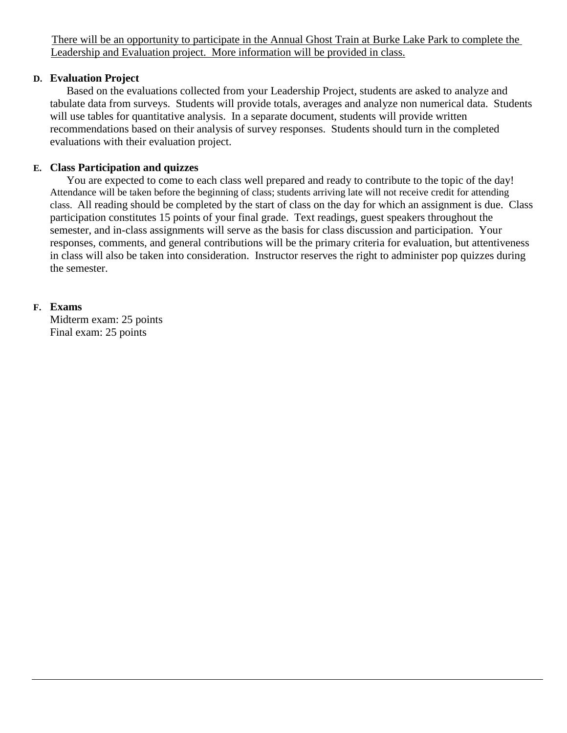There will be an opportunity to participate in the Annual Ghost Train at Burke Lake Park to complete the Leadership and Evaluation project. More information will be provided in class.

## **D. Evaluation Project**

 Based on the evaluations collected from your Leadership Project, students are asked to analyze and tabulate data from surveys. Students will provide totals, averages and analyze non numerical data. Students will use tables for quantitative analysis. In a separate document, students will provide written recommendations based on their analysis of survey responses. Students should turn in the completed evaluations with their evaluation project.

## **E. Class Participation and quizzes**

 You are expected to come to each class well prepared and ready to contribute to the topic of the day! Attendance will be taken before the beginning of class; students arriving late will not receive credit for attending class. All reading should be completed by the start of class on the day for which an assignment is due. Class participation constitutes 15 points of your final grade. Text readings, guest speakers throughout the semester, and in-class assignments will serve as the basis for class discussion and participation. Your responses, comments, and general contributions will be the primary criteria for evaluation, but attentiveness in class will also be taken into consideration. Instructor reserves the right to administer pop quizzes during the semester.

## **F. Exams**

Midterm exam: 25 points Final exam: 25 points